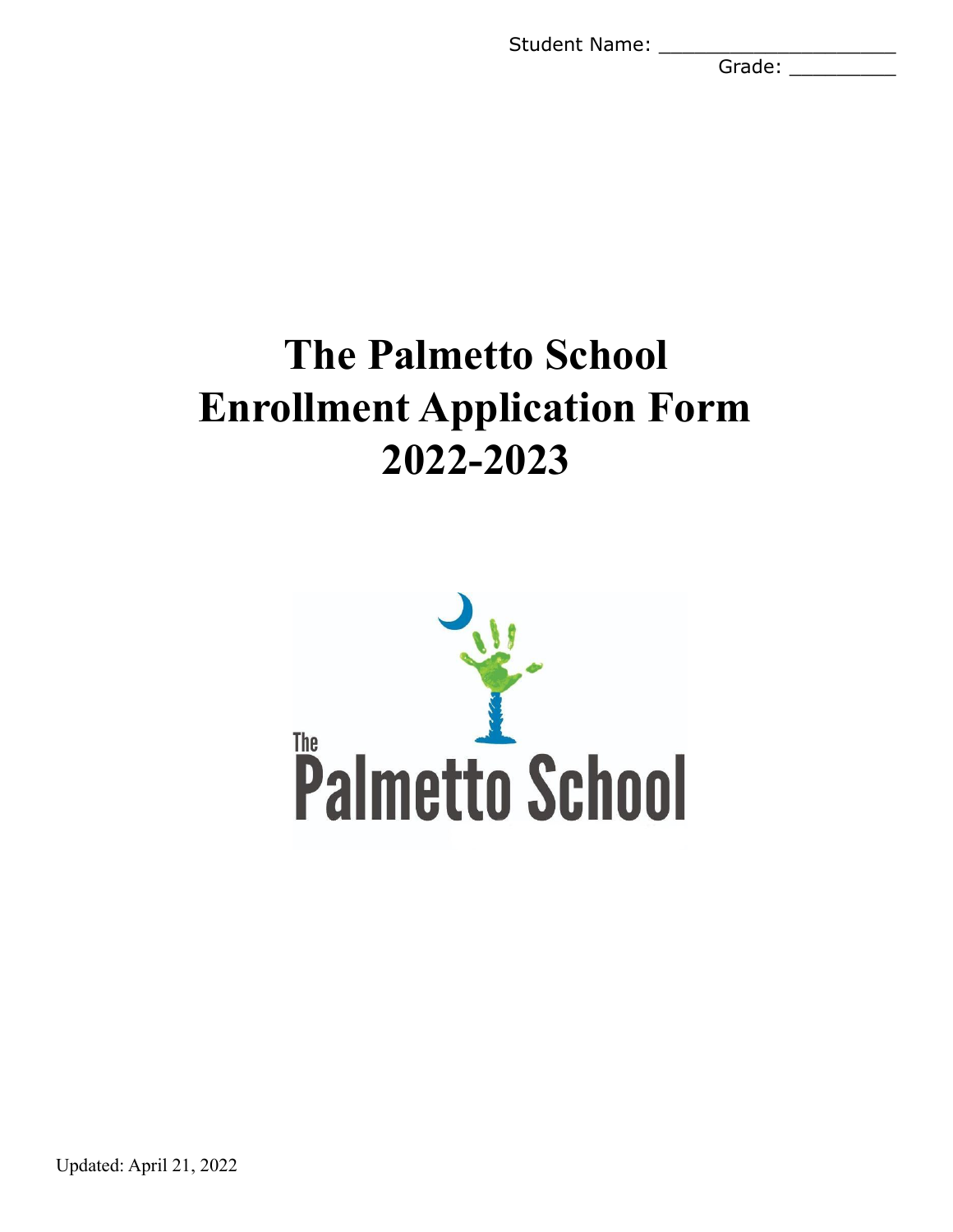Student Name: \_\_\_\_\_\_\_

Grade:

# **The Palmetto School Enrollment Application Form 2022-2023**



Updated: April 21, 2022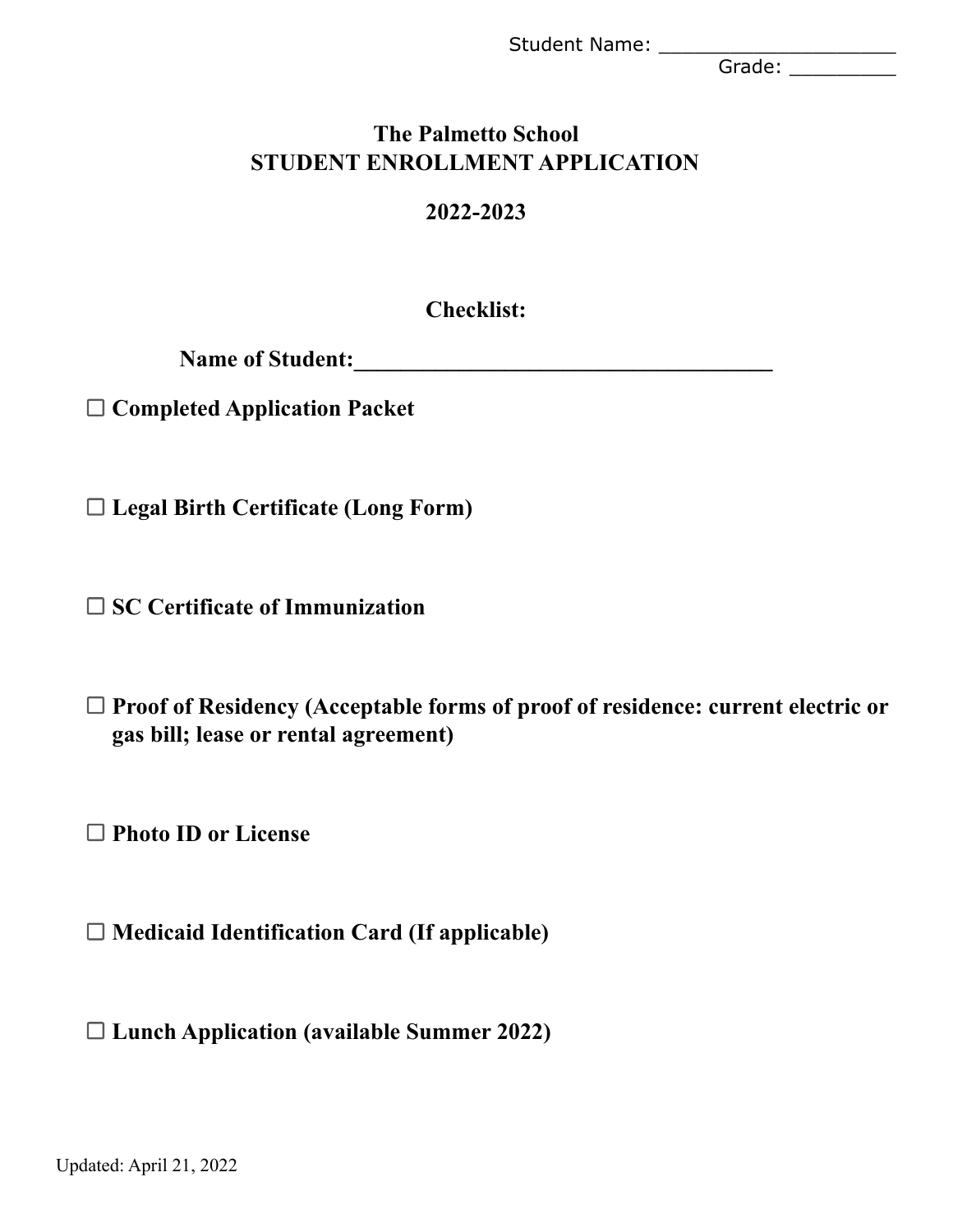Grade: \_\_\_\_\_\_\_\_\_\_\_

# **The Palmetto School STUDENT ENROLLMENT APPLICATION**

# **2022-2023**

**Checklist:**

**Name of Student:\_\_\_\_\_\_\_\_\_\_\_\_\_\_\_\_\_\_\_\_\_\_\_\_\_\_\_\_\_\_\_\_\_\_\_\_**

**Completed Application Packet**

**Legal Birth Certificate (Long Form)**

**SC Certificate of Immunization**

**Proof of Residency (Acceptable forms of proof of residence: current electric or gas bill; lease or rental agreement)**

**Photo ID or License**

**Medicaid Identification Card (If applicable)**

**Lunch Application (available Summer 2022)**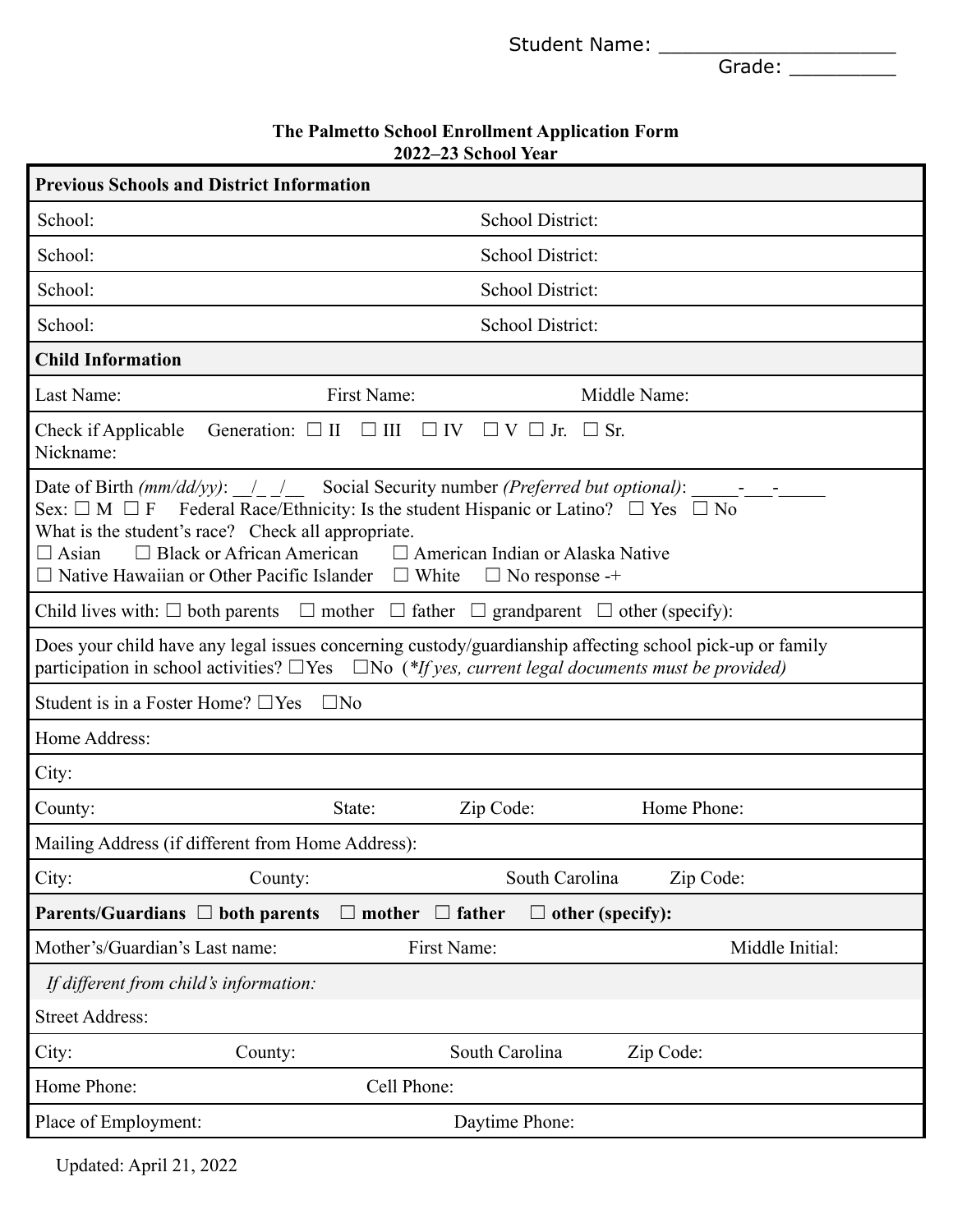Grade: \_\_\_\_\_\_\_\_\_\_\_

| The Palmetto School Enrollment Application Form |
|-------------------------------------------------|
| 2022–23 School Year                             |

| <b>Previous Schools and District Information</b>                                                                                                                                                                                                                                                                                                                                                                    |                                          |  |
|---------------------------------------------------------------------------------------------------------------------------------------------------------------------------------------------------------------------------------------------------------------------------------------------------------------------------------------------------------------------------------------------------------------------|------------------------------------------|--|
| School:                                                                                                                                                                                                                                                                                                                                                                                                             | School District:                         |  |
| School:                                                                                                                                                                                                                                                                                                                                                                                                             | School District:                         |  |
| School:                                                                                                                                                                                                                                                                                                                                                                                                             | School District:                         |  |
| School:                                                                                                                                                                                                                                                                                                                                                                                                             | School District:                         |  |
| <b>Child Information</b>                                                                                                                                                                                                                                                                                                                                                                                            |                                          |  |
| First Name:<br>Last Name:                                                                                                                                                                                                                                                                                                                                                                                           | Middle Name:                             |  |
| Generation: $\Box$ II $\Box$ III<br>Check if Applicable<br>Nickname:                                                                                                                                                                                                                                                                                                                                                | $\Box$ IV $\Box$ V $\Box$ Jr. $\Box$ Sr. |  |
| Date of Birth $(mm/dd/yy)$ : $/$ / Social Security number (Preferred but optional):<br>Federal Race/Ethnicity: Is the student Hispanic or Latino? $\Box$ Yes $\Box$ No<br>Sex: $\Box$ M $\Box$ F<br>What is the student's race? Check all appropriate.<br>$\Box$ Black or African American $\Box$ American Indian or Alaska Native<br>$\Box$ Asian<br>$\Box$ Native Hawaiian or Other Pacific Islander $\Box$ White | $\Box$ No response -+                    |  |
| Child lives with: $\Box$ both parents $\Box$ mother $\Box$ father $\Box$ grandparent $\Box$ other (specify):                                                                                                                                                                                                                                                                                                        |                                          |  |
| Does your child have any legal issues concerning custody/guardianship affecting school pick-up or family<br>participation in school activities? $\Box$ Yes $\Box$ No (*If yes, current legal documents must be provided)                                                                                                                                                                                            |                                          |  |
| Student is in a Foster Home? $\Box$ Yes<br>$\square$ No                                                                                                                                                                                                                                                                                                                                                             |                                          |  |
| Home Address:                                                                                                                                                                                                                                                                                                                                                                                                       |                                          |  |
| City:                                                                                                                                                                                                                                                                                                                                                                                                               |                                          |  |
| State:<br>County:                                                                                                                                                                                                                                                                                                                                                                                                   | Home Phone:<br>Zip Code:                 |  |
| Mailing Address (if different from Home Address):                                                                                                                                                                                                                                                                                                                                                                   |                                          |  |
| City:<br>County:                                                                                                                                                                                                                                                                                                                                                                                                    | South Carolina<br>Zip Code:              |  |
| $\Box$ father<br>Parents/Guardians $\Box$ both parents<br>mother                                                                                                                                                                                                                                                                                                                                                    | other (specify):                         |  |
| Mother's/Guardian's Last name:<br>First Name:                                                                                                                                                                                                                                                                                                                                                                       | Middle Initial:                          |  |
| If different from child's information:                                                                                                                                                                                                                                                                                                                                                                              |                                          |  |
| <b>Street Address:</b>                                                                                                                                                                                                                                                                                                                                                                                              |                                          |  |
| City:<br>County:                                                                                                                                                                                                                                                                                                                                                                                                    | South Carolina<br>Zip Code:              |  |
| Home Phone:<br>Cell Phone:                                                                                                                                                                                                                                                                                                                                                                                          |                                          |  |
| Place of Employment:                                                                                                                                                                                                                                                                                                                                                                                                | Daytime Phone:                           |  |

Updated: April 21, 2022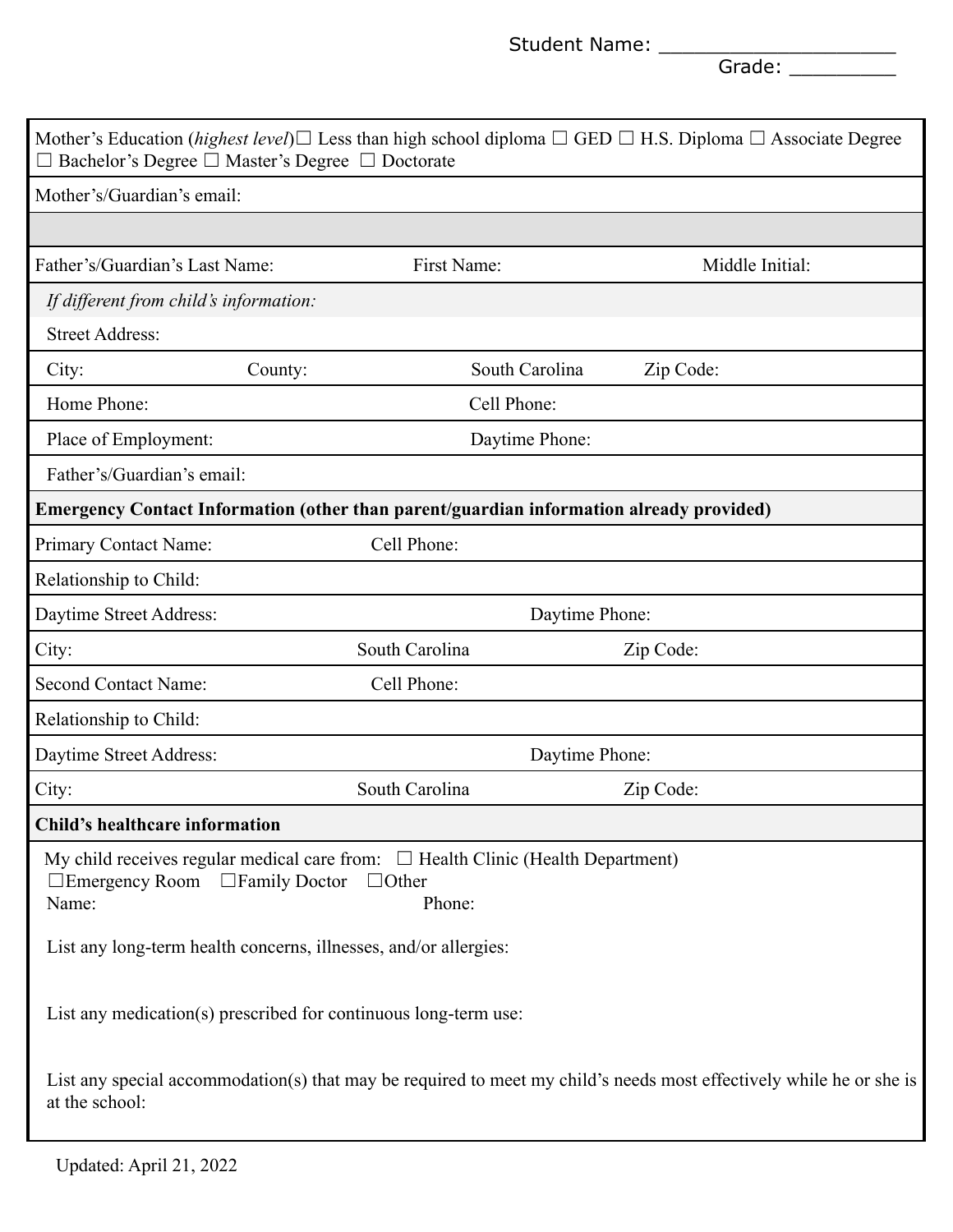Grade: \_\_\_\_\_\_\_\_\_\_\_

| $\Box$ Bachelor's Degree $\Box$ Master's Degree $\Box$ Doctorate                                                                             |         |                        |                | Mother's Education ( <i>highest level</i> ) $\Box$ Less than high school diploma $\Box$ GED $\Box$ H.S. Diploma $\Box$ Associate Degree |
|----------------------------------------------------------------------------------------------------------------------------------------------|---------|------------------------|----------------|-----------------------------------------------------------------------------------------------------------------------------------------|
| Mother's/Guardian's email:                                                                                                                   |         |                        |                |                                                                                                                                         |
|                                                                                                                                              |         |                        |                |                                                                                                                                         |
| Father's/Guardian's Last Name:                                                                                                               |         | First Name:            |                | Middle Initial:                                                                                                                         |
| If different from child's information:                                                                                                       |         |                        |                |                                                                                                                                         |
| <b>Street Address:</b>                                                                                                                       |         |                        |                |                                                                                                                                         |
| City:                                                                                                                                        | County: |                        | South Carolina | Zip Code:                                                                                                                               |
| Home Phone:                                                                                                                                  |         | Cell Phone:            |                |                                                                                                                                         |
| Place of Employment:                                                                                                                         |         |                        | Daytime Phone: |                                                                                                                                         |
| Father's/Guardian's email:                                                                                                                   |         |                        |                |                                                                                                                                         |
| Emergency Contact Information (other than parent/guardian information already provided)                                                      |         |                        |                |                                                                                                                                         |
| Primary Contact Name:                                                                                                                        |         | Cell Phone:            |                |                                                                                                                                         |
| Relationship to Child:                                                                                                                       |         |                        |                |                                                                                                                                         |
| Daytime Street Address:                                                                                                                      |         |                        | Daytime Phone: |                                                                                                                                         |
| City:                                                                                                                                        |         | South Carolina         |                | Zip Code:                                                                                                                               |
| Second Contact Name:                                                                                                                         |         | Cell Phone:            |                |                                                                                                                                         |
| Relationship to Child:                                                                                                                       |         |                        |                |                                                                                                                                         |
| Daytime Street Address:                                                                                                                      |         |                        | Daytime Phone: |                                                                                                                                         |
| City:                                                                                                                                        |         | South Carolina         |                | Zip Code:                                                                                                                               |
| Child's healthcare information                                                                                                               |         |                        |                |                                                                                                                                         |
| My child receives regular medical care from: $\Box$ Health Clinic (Health Department)<br>$\Box$ Emergency Room $\Box$ Family Doctor<br>Name: |         | $\Box$ Other<br>Phone: |                |                                                                                                                                         |
| List any long-term health concerns, illnesses, and/or allergies:                                                                             |         |                        |                |                                                                                                                                         |
| List any medication(s) prescribed for continuous long-term use:                                                                              |         |                        |                |                                                                                                                                         |
| at the school:                                                                                                                               |         |                        |                | List any special accommodation(s) that may be required to meet my child's needs most effectively while he or she is                     |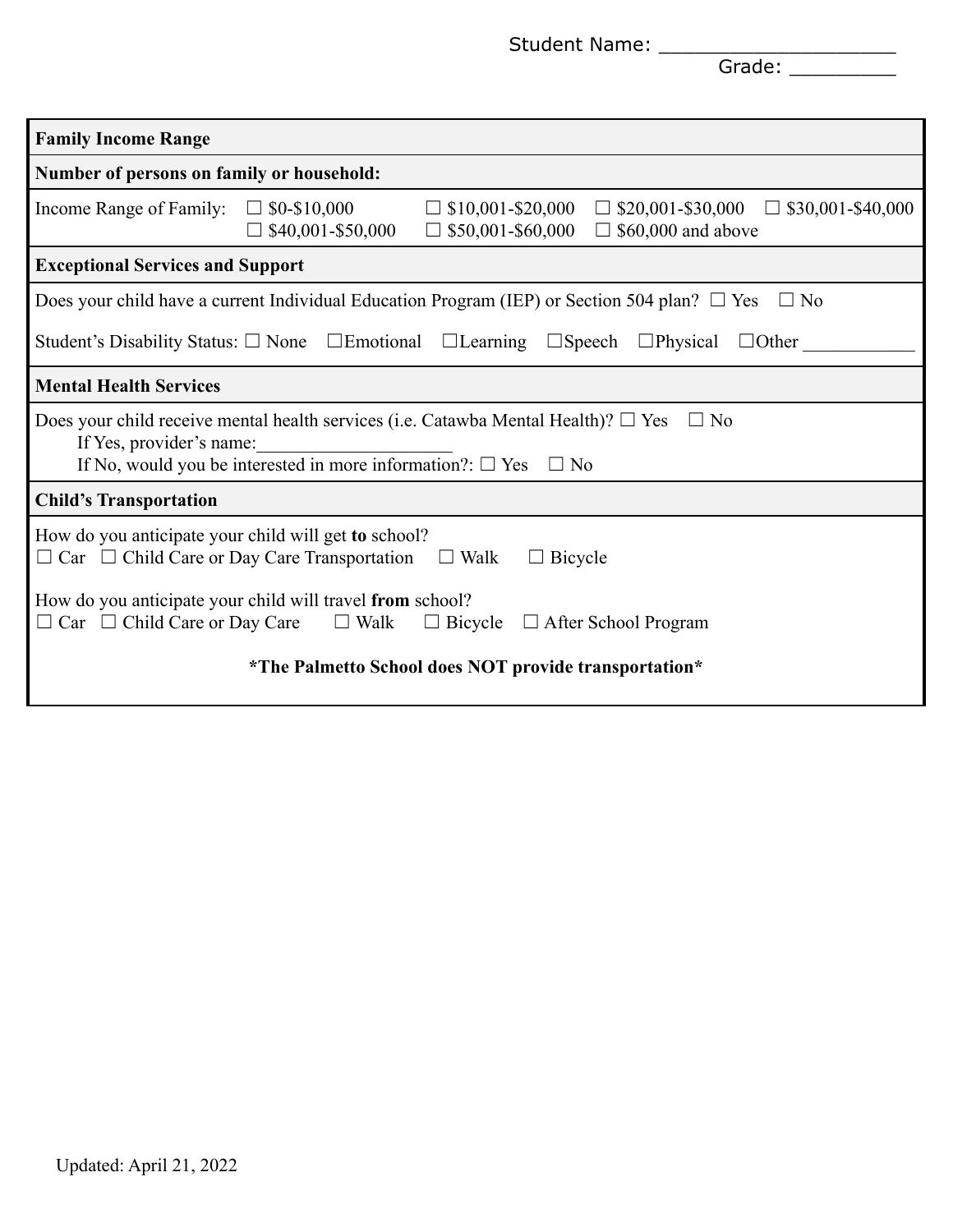Grade: \_\_\_\_\_\_\_\_\_\_\_

| <b>Family Income Range</b>                                                                                                                                                                                             |                                                       |                                                      |                                                                            |
|------------------------------------------------------------------------------------------------------------------------------------------------------------------------------------------------------------------------|-------------------------------------------------------|------------------------------------------------------|----------------------------------------------------------------------------|
| Number of persons on family or household:                                                                                                                                                                              |                                                       |                                                      |                                                                            |
| Income Range of Family:                                                                                                                                                                                                | $\Box$ \$0-\$10,000<br>\$40,001-\$50,000              | $\Box$ \$10,001-\$20,000<br>$\Box$ \$50,001-\$60,000 | $\Box$ \$20,001-\$30,000<br>$\Box$ \$30,001-\$40,000<br>\$60,000 and above |
| <b>Exceptional Services and Support</b>                                                                                                                                                                                |                                                       |                                                      |                                                                            |
| Does your child have a current Individual Education Program (IEP) or Section 504 plan? $\Box$ Yes                                                                                                                      |                                                       |                                                      | $\Box$ No                                                                  |
| Student's Disability Status: $\square$ None $\square$ Emotional $\square$ Learning $\square$ Speech $\square$ Physical                                                                                                 |                                                       |                                                      | $\Box$ Other                                                               |
| <b>Mental Health Services</b>                                                                                                                                                                                          |                                                       |                                                      |                                                                            |
| Does your child receive mental health services (i.e. Catawba Mental Health)? $\square$ Yes<br>$\Box$ No<br>If Yes, provider's name:<br>If No, would you be interested in more information?: $\square$ Yes $\square$ No |                                                       |                                                      |                                                                            |
| <b>Child's Transportation</b>                                                                                                                                                                                          |                                                       |                                                      |                                                                            |
| How do you anticipate your child will get to school?<br>$\Box$ Car $\Box$ Child Care or Day Care Transportation                                                                                                        |                                                       | $\Box$ Walk<br>$\Box$ Bicycle                        |                                                                            |
| How do you anticipate your child will travel from school?<br>$\Box$ Car $\Box$ Child Care or Day Care                                                                                                                  | $\Box$ Walk                                           | $\Box$ Bicycle                                       | $\Box$ After School Program                                                |
|                                                                                                                                                                                                                        | *The Palmetto School does NOT provide transportation* |                                                      |                                                                            |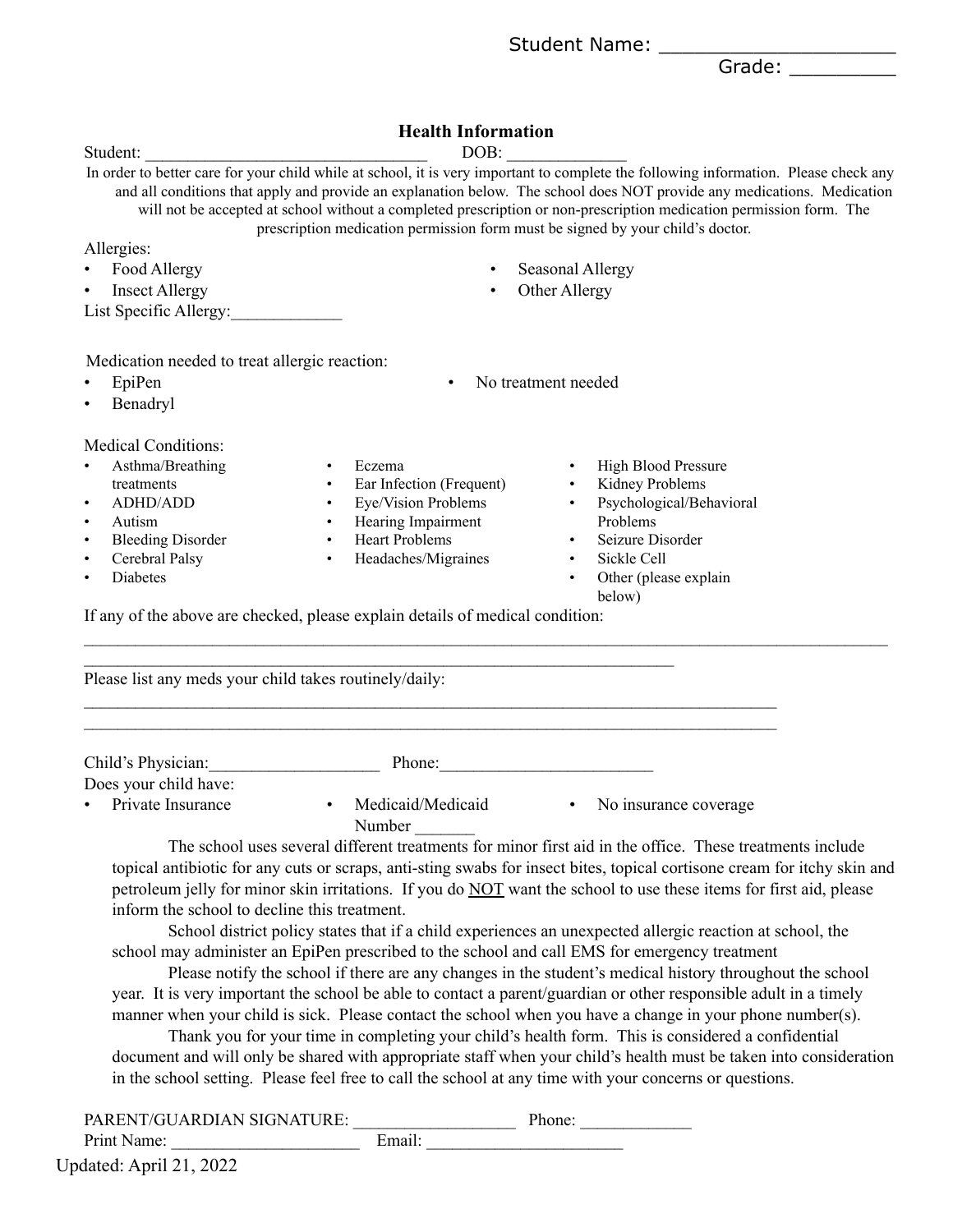Grade: \_\_\_\_\_\_\_\_\_

#### **Health Information**

| Student:                                                                                                                                                                                                                                                                                                                                                                                                                                | DOB:                                                                                                                                                                                                                                                                                                                                                                                                                                                                     |  |
|-----------------------------------------------------------------------------------------------------------------------------------------------------------------------------------------------------------------------------------------------------------------------------------------------------------------------------------------------------------------------------------------------------------------------------------------|--------------------------------------------------------------------------------------------------------------------------------------------------------------------------------------------------------------------------------------------------------------------------------------------------------------------------------------------------------------------------------------------------------------------------------------------------------------------------|--|
|                                                                                                                                                                                                                                                                                                                                                                                                                                         | In order to better care for your child while at school, it is very important to complete the following information. Please check any<br>and all conditions that apply and provide an explanation below. The school does NOT provide any medications. Medication<br>will not be accepted at school without a completed prescription or non-prescription medication permission form. The<br>prescription medication permission form must be signed by your child's doctor. |  |
| Allergies:                                                                                                                                                                                                                                                                                                                                                                                                                              |                                                                                                                                                                                                                                                                                                                                                                                                                                                                          |  |
| Food Allergy                                                                                                                                                                                                                                                                                                                                                                                                                            | Seasonal Allergy                                                                                                                                                                                                                                                                                                                                                                                                                                                         |  |
| Other Allergy<br><b>Insect Allergy</b><br>$\bullet$<br>List Specific Allergy:                                                                                                                                                                                                                                                                                                                                                           |                                                                                                                                                                                                                                                                                                                                                                                                                                                                          |  |
| Medication needed to treat allergic reaction:<br>EpiPen<br>$\bullet$<br>Benadryl                                                                                                                                                                                                                                                                                                                                                        | No treatment needed<br>$\bullet$                                                                                                                                                                                                                                                                                                                                                                                                                                         |  |
| <b>Medical Conditions:</b><br>Asthma/Breathing<br>$\bullet$<br>$\bullet$<br>treatments<br>$\bullet$<br><b>ADHD/ADD</b><br>$\bullet$<br>Autism<br>$\bullet$<br><b>Bleeding Disorder</b><br>$\bullet$<br>$\bullet$<br>Cerebral Palsy<br>$\bullet$<br>$\bullet$<br><b>Diabetes</b><br>$\bullet$<br>If any of the above are checked, please explain details of medical condition:<br>Please list any meds your child takes routinely/daily: | <b>High Blood Pressure</b><br>Eczema<br>$\bullet$<br>Kidney Problems<br>Ear Infection (Frequent)<br>$\bullet$<br>Eye/Vision Problems<br>Psychological/Behavioral<br>$\bullet$<br>Problems<br>Hearing Impairment<br><b>Heart Problems</b><br>Seizure Disorder<br>Headaches/Migraines<br>Sickle Cell<br>$\bullet$<br>Other (please explain<br>$\bullet$<br>below)                                                                                                          |  |
| Child's Physician:                                                                                                                                                                                                                                                                                                                                                                                                                      | Phone:                                                                                                                                                                                                                                                                                                                                                                                                                                                                   |  |

Does your child have: • Private Insurance • Medicaid/Medicaid Number  $\blacksquare$ • No insurance coverage

The school uses several different treatments for minor first aid in the office. These treatments include topical antibiotic for any cuts or scraps, anti-sting swabs for insect bites, topical cortisone cream for itchy skin and petroleum jelly for minor skin irritations. If you do NOT want the school to use these items for first aid, please inform the school to decline this treatment.

School district policy states that if a child experiences an unexpected allergic reaction at school, the school may administer an EpiPen prescribed to the school and call EMS for emergency treatment

Please notify the school if there are any changes in the student's medical history throughout the school year. It is very important the school be able to contact a parent/guardian or other responsible adult in a timely manner when your child is sick. Please contact the school when you have a change in your phone number(s).

Thank you for your time in completing your child's health form. This is considered a confidential document and will only be shared with appropriate staff when your child's health must be taken into consideration in the school setting. Please feel free to call the school at any time with your concerns or questions.

| PARENT/GUARDIAN SIGNATURE: |        | Phone: |
|----------------------------|--------|--------|
| Print Name:                | Email: |        |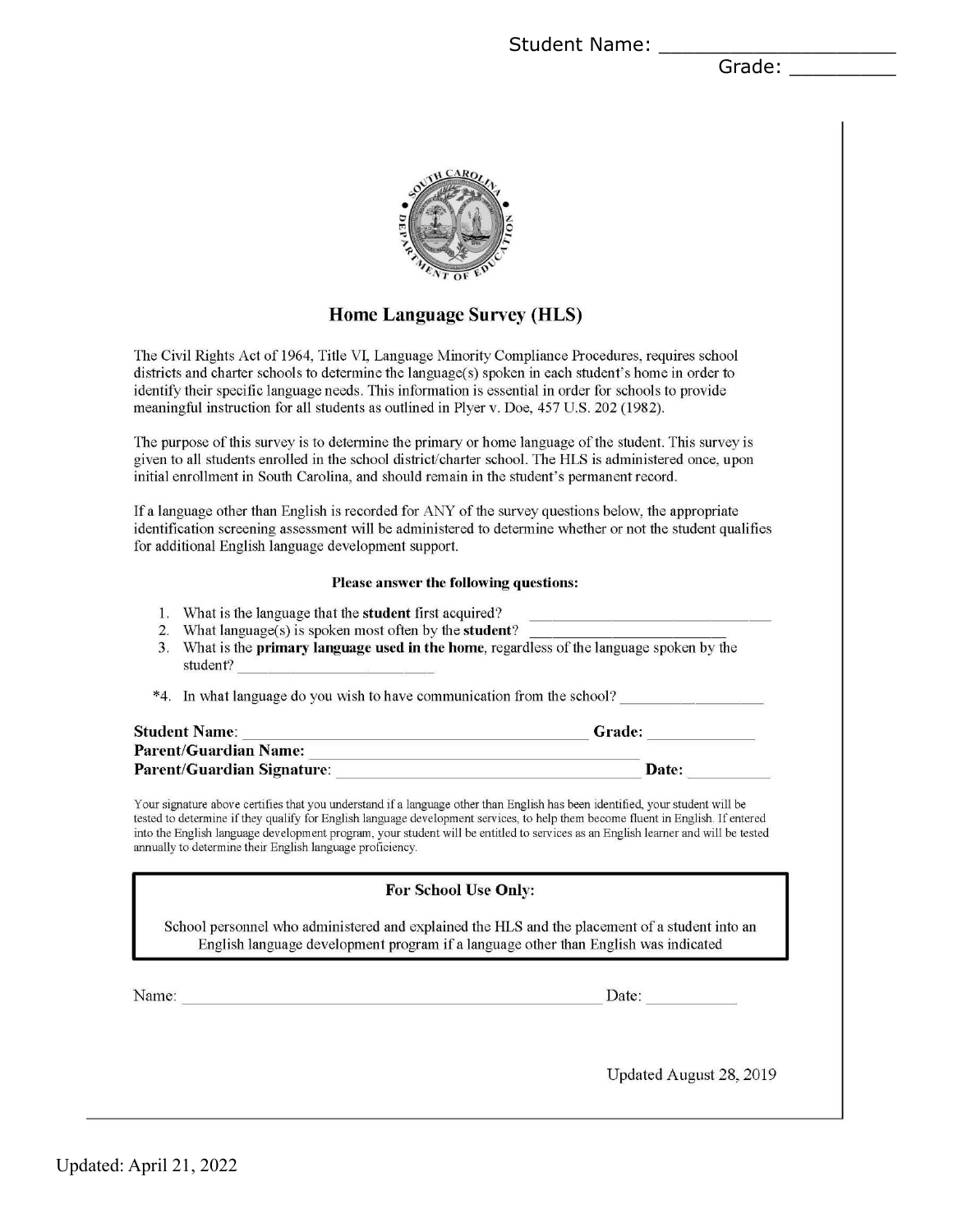Student Name: \_\_\_\_\_

Grade: \_\_\_\_\_\_\_\_\_



## **Home Language Survey (HLS)**

The Civil Rights Act of 1964, Title VI, Language Minority Compliance Procedures, requires school districts and charter schools to determine the language( $s$ ) spoken in each student's home in order to identify their specific language needs. This information is essential in order for schools to provide meaningful instruction for all students as outlined in Plyer v. Doe, 457 U.S. 202 (1982).

The purpose of this survey is to determine the primary or home language of the student. This survey is given to all students enrolled in the school district/charter school. The HLS is administered once, upon initial enrollment in South Carolina, and should remain in the student's permanent record.

If a language other than English is recorded for ANY of the survey questions below, the appropriate identification screening assessment will be administered to determine whether or not the student qualifies for additional English language development support.

#### Please answer the following questions:

- 1. What is the language that the **student** first acquired?
- 2. What  $language(s)$  is spoken most often by the **student**?
- 3. What is the **primary language used in the home**, regardless of the language spoken by the student?

\*4. In what language do you wish to have communication from the school?

| <b>Student Name:</b>         | Grade: |
|------------------------------|--------|
| <b>Parent/Guardian Name:</b> |        |
| Parent/Guardian Signature:   | Date:  |

Your signature above certifies that you understand if a language other than English has been identified, your student will be tested to determine if they qualify for English language development services, to help them become fluent in English. If entered into the English language development program, your student will be entitled to services as an English learner and will be tested annually to determine their English language proficiency.

#### **For School Use Only:**

School personnel who administered and explained the HLS and the placement of a student into an English language development program if a language other than English was indicated

Name:

Date:

Updated August 28, 2019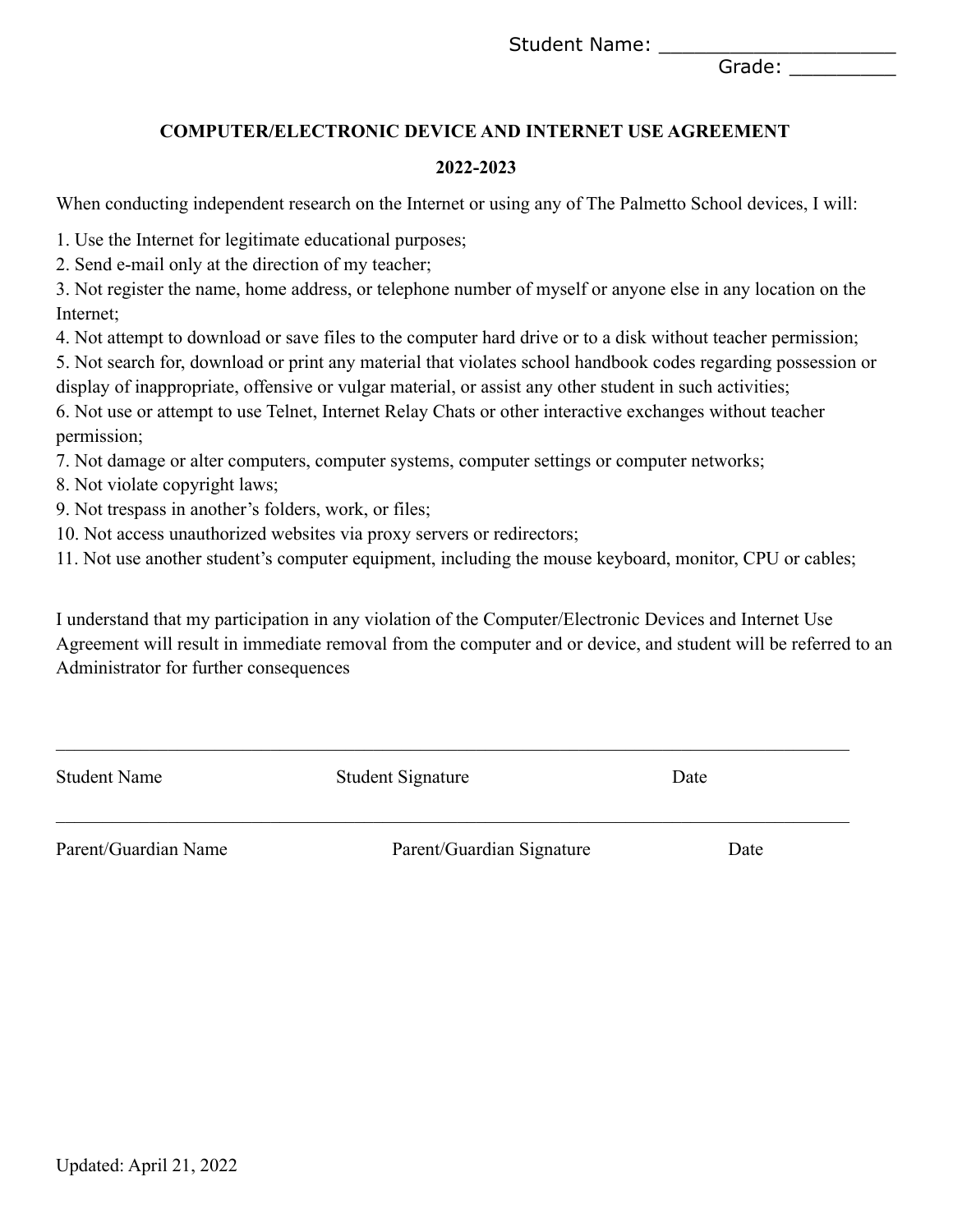Student Name: \_\_\_\_\_\_

Grade:

## **COMPUTER/ELECTRONIC DEVICE AND INTERNET USE AGREEMENT**

#### **2022-2023**

When conducting independent research on the Internet or using any of The Palmetto School devices, I will:

1. Use the Internet for legitimate educational purposes;

2. Send e-mail only at the direction of my teacher;

3. Not register the name, home address, or telephone number of myself or anyone else in any location on the Internet;

4. Not attempt to download or save files to the computer hard drive or to a disk without teacher permission;

5. Not search for, download or print any material that violates school handbook codes regarding possession or display of inappropriate, offensive or vulgar material, or assist any other student in such activities;

6. Not use or attempt to use Telnet, Internet Relay Chats or other interactive exchanges without teacher permission;

7. Not damage or alter computers, computer systems, computer settings or computer networks;

8. Not violate copyright laws;

9. Not trespass in another's folders, work, or files;

10. Not access unauthorized websites via proxy servers or redirectors;

11. Not use another student's computer equipment, including the mouse keyboard, monitor, CPU or cables;

I understand that my participation in any violation of the Computer/Electronic Devices and Internet Use Agreement will result in immediate removal from the computer and or device, and student will be referred to an Administrator for further consequences

| <b>Student Name</b>  | Student Signature         | Date |
|----------------------|---------------------------|------|
| Parent/Guardian Name | Parent/Guardian Signature | Date |

 $\mathcal{L}_\mathcal{L} = \{ \mathcal{L}_\mathcal{L} = \{ \mathcal{L}_\mathcal{L} = \{ \mathcal{L}_\mathcal{L} = \{ \mathcal{L}_\mathcal{L} = \{ \mathcal{L}_\mathcal{L} = \{ \mathcal{L}_\mathcal{L} = \{ \mathcal{L}_\mathcal{L} = \{ \mathcal{L}_\mathcal{L} = \{ \mathcal{L}_\mathcal{L} = \{ \mathcal{L}_\mathcal{L} = \{ \mathcal{L}_\mathcal{L} = \{ \mathcal{L}_\mathcal{L} = \{ \mathcal{L}_\mathcal{L} = \{ \mathcal{L}_\mathcal{$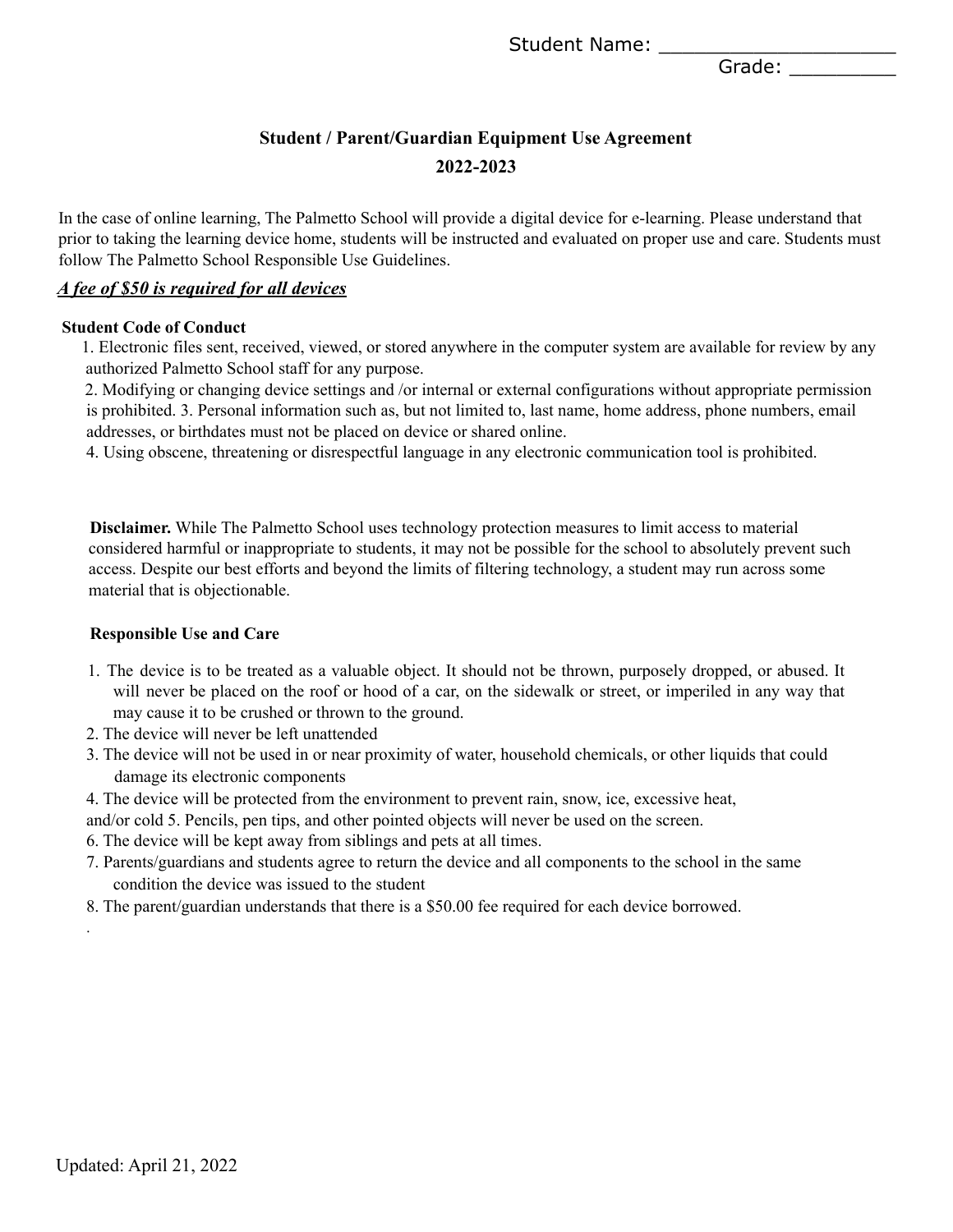Student Name: \_\_\_\_\_\_

Grade: \_\_\_\_\_\_\_\_\_

## **Student / Parent/Guardian Equipment Use Agreement 2022-2023**

In the case of online learning, The Palmetto School will provide a digital device for e-learning. Please understand that prior to taking the learning device home, students will be instructed and evaluated on proper use and care. Students must follow The Palmetto School Responsible Use Guidelines.

#### *A fee of \$50 is required for all devices*

#### **Student Code of Conduct**

1. Electronic files sent, received, viewed, or stored anywhere in the computer system are available for review by any authorized Palmetto School staff for any purpose.

2. Modifying or changing device settings and /or internal or external configurations without appropriate permission is prohibited. 3. Personal information such as, but not limited to, last name, home address, phone numbers, email addresses, or birthdates must not be placed on device or shared online.

4. Using obscene, threatening or disrespectful language in any electronic communication tool is prohibited.

**Disclaimer.** While The Palmetto School uses technology protection measures to limit access to material considered harmful or inappropriate to students, it may not be possible for the school to absolutely prevent such access. Despite our best efforts and beyond the limits of filtering technology, a student may run across some material that is objectionable.

#### **Responsible Use and Care**

- 1. The device is to be treated as a valuable object. It should not be thrown, purposely dropped, or abused. It will never be placed on the roof or hood of a car, on the sidewalk or street, or imperiled in any way that may cause it to be crushed or thrown to the ground.
- 2. The device will never be left unattended
- 3. The device will not be used in or near proximity of water, household chemicals, or other liquids that could damage its electronic components
- 4. The device will be protected from the environment to prevent rain, snow, ice, excessive heat,
- and/or cold 5. Pencils, pen tips, and other pointed objects will never be used on the screen.
- 6. The device will be kept away from siblings and pets at all times.
- 7. Parents/guardians and students agree to return the device and all components to the school in the same condition the device was issued to the student
- 8. The parent/guardian understands that there is a \$50.00 fee required for each device borrowed.

.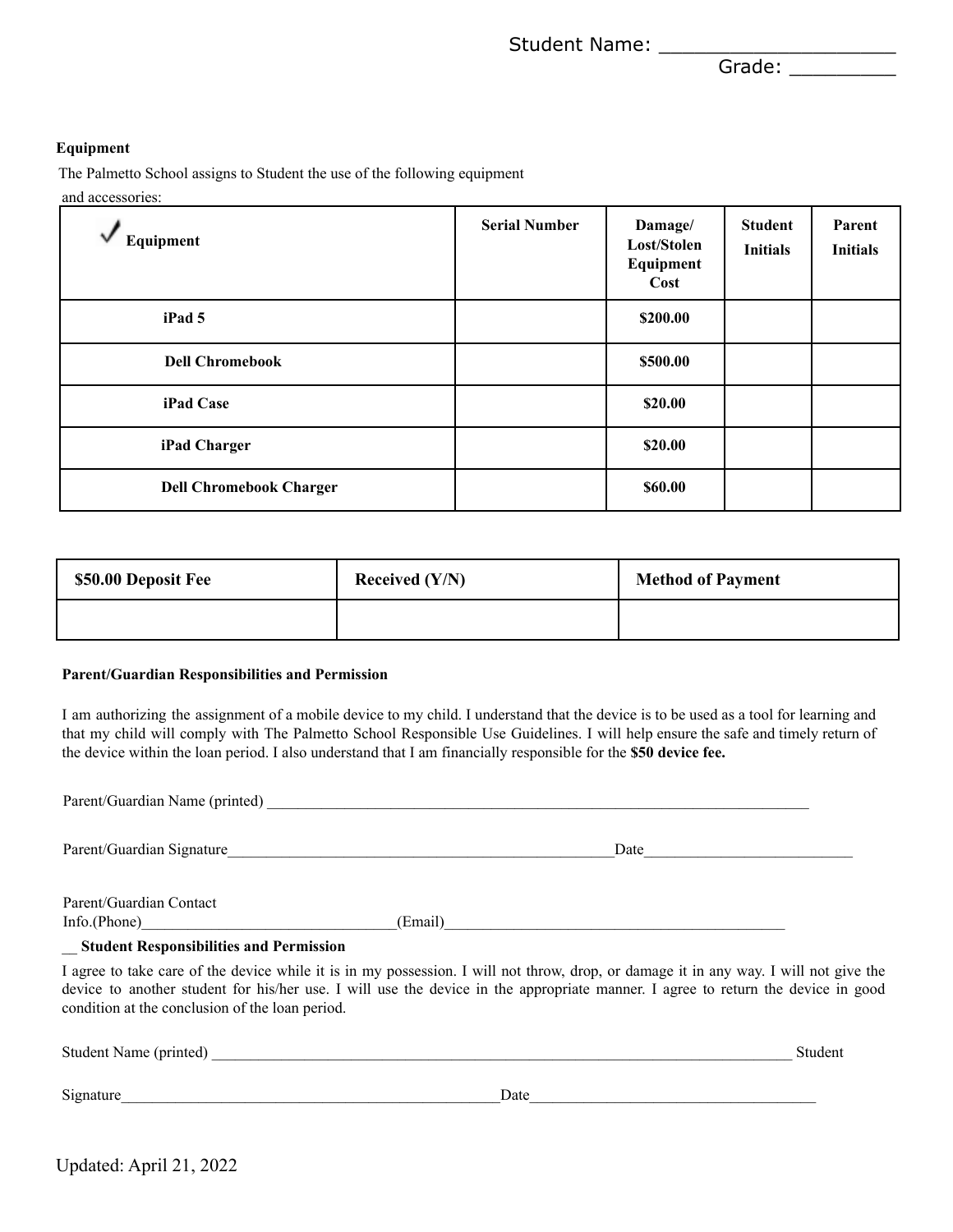Student Name: \_\_\_\_\_\_

Grade: \_\_\_\_\_\_\_\_\_

#### **Equipment**

The Palmetto School assigns to Student the use of the following equipment and accessories:

| Equipment                      | <b>Serial Number</b> | Damage/<br>Lost/Stolen<br>Equipment<br>Cost | <b>Student</b><br><b>Initials</b> | Parent<br><b>Initials</b> |
|--------------------------------|----------------------|---------------------------------------------|-----------------------------------|---------------------------|
| iPad 5                         |                      | \$200.00                                    |                                   |                           |
| <b>Dell Chromebook</b>         |                      | \$500.00                                    |                                   |                           |
| iPad Case                      |                      | \$20.00                                     |                                   |                           |
| iPad Charger                   |                      | \$20.00                                     |                                   |                           |
| <b>Dell Chromebook Charger</b> |                      | \$60.00                                     |                                   |                           |

| \$50.00 Deposit Fee | Received $(Y/N)$ | <b>Method of Payment</b> |
|---------------------|------------------|--------------------------|
|                     |                  |                          |

#### **Parent/Guardian Responsibilities and Permission**

I am authorizing the assignment of a mobile device to my child. I understand that the device is to be used as a tool for learning and that my child will comply with The Palmetto School Responsible Use Guidelines. I will help ensure the safe and timely return of the device within the loan period. I also understand that I am financially responsible for the **\$50 device fee.**

| Parent/Guardian Name (printed) Manual School School School School School School School School School School School School School School School School School School School School School School School School School School Sc |                                                                                                                                                                                                                                                                           |         |
|--------------------------------------------------------------------------------------------------------------------------------------------------------------------------------------------------------------------------------|---------------------------------------------------------------------------------------------------------------------------------------------------------------------------------------------------------------------------------------------------------------------------|---------|
|                                                                                                                                                                                                                                |                                                                                                                                                                                                                                                                           |         |
| Parent/Guardian Contact<br>Info(Phone)                                                                                                                                                                                         | (Email)                                                                                                                                                                                                                                                                   |         |
| _ Student Responsibilities and Permission                                                                                                                                                                                      |                                                                                                                                                                                                                                                                           |         |
| condition at the conclusion of the loan period.                                                                                                                                                                                | I agree to take care of the device while it is in my possession. I will not throw, drop, or damage it in any way. I will not give the<br>device to another student for his/her use. I will use the device in the appropriate manner. I agree to return the device in good |         |
|                                                                                                                                                                                                                                |                                                                                                                                                                                                                                                                           | Student |
| Signature                                                                                                                                                                                                                      | Date                                                                                                                                                                                                                                                                      |         |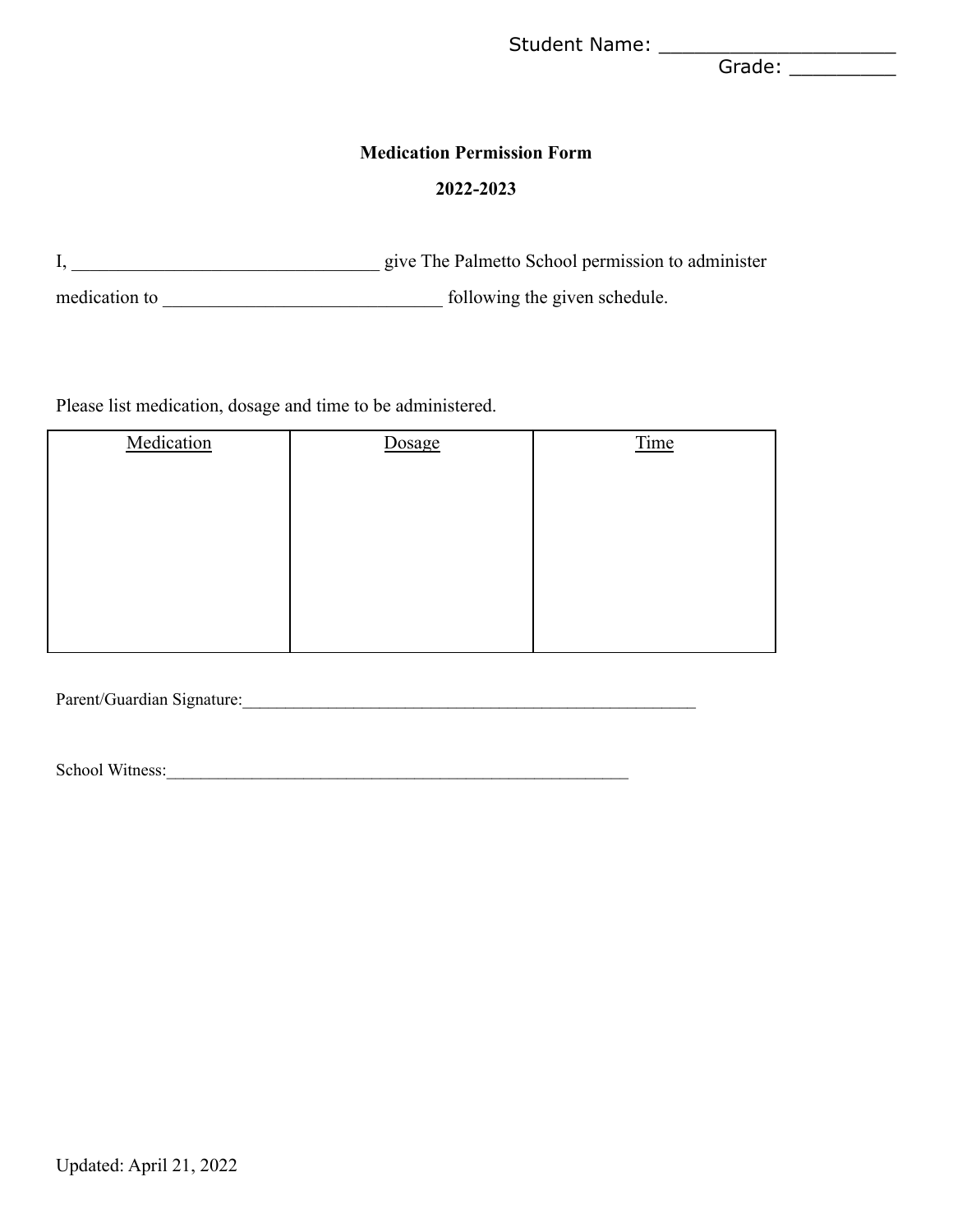Grade: \_\_\_\_\_\_\_\_\_\_\_

#### **Medication Permission Form**

#### **2022-2023**

|               | give The Palmetto School permission to administer |
|---------------|---------------------------------------------------|
| medication to | following the given schedule.                     |

## Please list medication, dosage and time to be administered.

| Medication | Dosage | Time |
|------------|--------|------|
|            |        |      |
|            |        |      |
|            |        |      |
|            |        |      |
|            |        |      |
|            |        |      |
|            |        |      |

Parent/Guardian Signature:

School Witness:\_\_\_\_\_\_\_\_\_\_\_\_\_\_\_\_\_\_\_\_\_\_\_\_\_\_\_\_\_\_\_\_\_\_\_\_\_\_\_\_\_\_\_\_\_\_\_\_\_\_\_\_\_\_